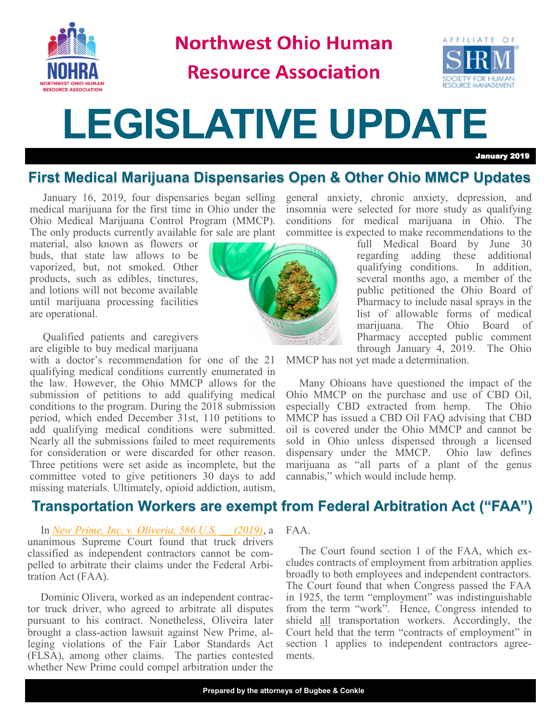

**Northwest Ohio Human** 

# **Resource Association**



# **LEGISLATIVE UPDATE**

January 2019

## **First Medical Marijuana Dispensaries Open & Other Ohio MMCP Updates**

January 16, 2019, four dispensaries began selling medical marijuana for the first time in Ohio under the Ohio Medical Marijuana Control Program (MMCP). The only products currently available for sale are plant committee is expected to make recommendations to the

material, also known as flowers or buds, that state law allows to be vaporized, but, not smoked. Other products, such as edibles, tinctures, and lotions will not become available until marijuana processing facilities are operational.

Qualified patients and caregivers are eligible to buy medical marijuana

with a doctor's recommendation for one of the 21 qualifying medical conditions currently enumerated in the law. However, the Ohio MMCP allows for the submission of petitions to add qualifying medical conditions to the program. During the 2018 submission period, which ended December 31st, 110 petitions to add qualifying medical conditions were submitted. Nearly all the submissions failed to meet requirements for consideration or were discarded for other reason. Three petitions were set aside as incomplete, but the committee voted to give petitioners 30 days to add missing materials. Ultimately, opioid addiction, autism,

#### **Transportation Workers are exempt from Federal Arbitration Act ("FAA")**

In *[New Prime, Inc. v. Oliveria, 586 U.S. \\_\\_ \(2019\)](https://www.supremecourt.gov/opinions/18pdf/17-340_o7kq.pdf)*, a unanimous Supreme Court found that truck drivers classified as independent contractors cannot be compelled to arbitrate their claims under the Federal Arbitration Act (FAA).

Dominic Olivera, worked as an independent contractor truck driver, who agreed to arbitrate all disputes pursuant to his contract. Nonetheless, Oliveira later brought a class-action lawsuit against New Prime, alleging violations of the Fair Labor Standards Act (FLSA), among other claims. The parties contested whether New Prime could compel arbitration under the



general anxiety, chronic anxiety, depression, and insomnia were selected for more study as qualifying conditions for medical marijuana in Ohio. The

full Medical Board by June 30 regarding adding these additional qualifying conditions. In addition, several months ago, a member of the public petitioned the Ohio Board of Pharmacy to include nasal sprays in the list of allowable forms of medical marijuana. The Ohio Board of Pharmacy accepted public comment through January 4, 2019. The Ohio

MMCP has not yet made a determination.

Many Ohioans have questioned the impact of the Ohio MMCP on the purchase and use of CBD Oil, especially CBD extracted from hemp. The Ohio MMCP has issued a CBD Oil FAQ advising that CBD oil is covered under the Ohio MMCP and cannot be sold in Ohio unless dispensed through a licensed dispensary under the MMCP. Ohio law defines marijuana as "all parts of a plant of the genus cannabis," which would include hemp.

FAA.

The Court found section 1 of the FAA, which excludes contracts of employment from arbitration applies broadly to both employees and independent contractors. The Court found that when Congress passed the FAA in 1925, the term "employment" was indistinguishable from the term "work". Hence, Congress intended to shield all transportation workers. Accordingly, the Court held that the term "contracts of employment" in section 1 applies to independent contractors agreements.